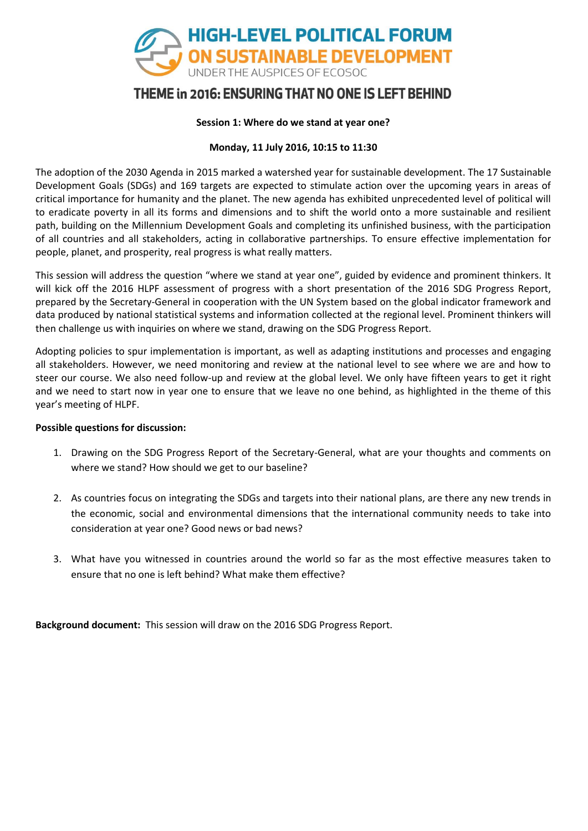

#### **Session 1: Where do we stand at year one?**

#### **Monday, 11 July 2016, 10:15 to 11:30**

The adoption of the 2030 Agenda in 2015 marked a watershed year for sustainable development. The 17 Sustainable Development Goals (SDGs) and 169 targets are expected to stimulate action over the upcoming years in areas of critical importance for humanity and the planet. The new agenda has exhibited unprecedented level of political will to eradicate poverty in all its forms and dimensions and to shift the world onto a more sustainable and resilient path, building on the Millennium Development Goals and completing its unfinished business, with the participation of all countries and all stakeholders, acting in collaborative partnerships. To ensure effective implementation for people, planet, and prosperity, real progress is what really matters.

This session will address the question "where we stand at year one", guided by evidence and prominent thinkers. It will kick off the 2016 HLPF assessment of progress with a short presentation of the 2016 SDG Progress Report, prepared by the Secretary-General in cooperation with the UN System based on the global indicator framework and data produced by national statistical systems and information collected at the regional level. Prominent thinkers will then challenge us with inquiries on where we stand, drawing on the SDG Progress Report.

Adopting policies to spur implementation is important, as well as adapting institutions and processes and engaging all stakeholders. However, we need monitoring and review at the national level to see where we are and how to steer our course. We also need follow-up and review at the global level. We only have fifteen years to get it right and we need to start now in year one to ensure that we leave no one behind, as highlighted in the theme of this year's meeting of HLPF.

#### **Possible questions for discussion:**

- 1. Drawing on the SDG Progress Report of the Secretary-General, what are your thoughts and comments on where we stand? How should we get to our baseline?
- 2. As countries focus on integrating the SDGs and targets into their national plans, are there any new trends in the economic, social and environmental dimensions that the international community needs to take into consideration at year one? Good news or bad news?
- 3. What have you witnessed in countries around the world so far as the most effective measures taken to ensure that no one is left behind? What make them effective?

**Background document:** This session will draw on the 2016 SDG Progress Report.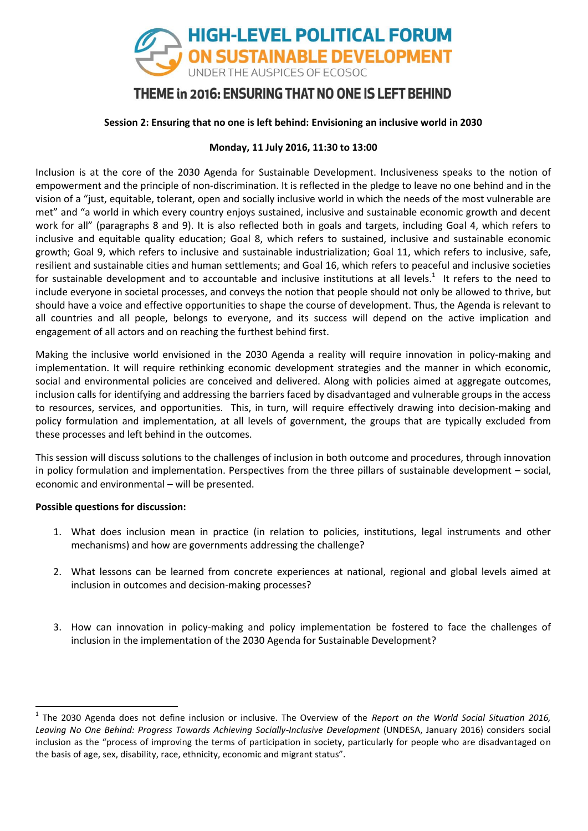

### **Session 2: Ensuring that no one is left behind: Envisioning an inclusive world in 2030**

### **Monday, 11 July 2016, 11:30 to 13:00**

Inclusion is at the core of the 2030 Agenda for Sustainable Development. Inclusiveness speaks to the notion of empowerment and the principle of non-discrimination. It is reflected in the pledge to leave no one behind and in the vision of a "just, equitable, tolerant, open and socially inclusive world in which the needs of the most vulnerable are met" and "a world in which every country enjoys sustained, inclusive and sustainable economic growth and decent work for all" (paragraphs 8 and 9). It is also reflected both in goals and targets, including Goal 4, which refers to inclusive and equitable quality education; Goal 8, which refers to sustained, inclusive and sustainable economic growth; Goal 9, which refers to inclusive and sustainable industrialization; Goal 11, which refers to inclusive, safe, resilient and sustainable cities and human settlements; and Goal 16, which refers to peaceful and inclusive societies for sustainable development and to accountable and inclusive institutions at all levels.<sup>1</sup> It refers to the need to include everyone in societal processes, and conveys the notion that people should not only be allowed to thrive, but should have a voice and effective opportunities to shape the course of development. Thus, the Agenda is relevant to all countries and all people, belongs to everyone, and its success will depend on the active implication and engagement of all actors and on reaching the furthest behind first.

Making the inclusive world envisioned in the 2030 Agenda a reality will require innovation in policy-making and implementation. It will require rethinking economic development strategies and the manner in which economic, social and environmental policies are conceived and delivered. Along with policies aimed at aggregate outcomes, inclusion calls for identifying and addressing the barriers faced by disadvantaged and vulnerable groups in the access to resources, services, and opportunities. This, in turn, will require effectively drawing into decision-making and policy formulation and implementation, at all levels of government, the groups that are typically excluded from these processes and left behind in the outcomes.

This session will discuss solutions to the challenges of inclusion in both outcome and procedures, through innovation in policy formulation and implementation. Perspectives from the three pillars of sustainable development – social, economic and environmental – will be presented.

#### **Possible questions for discussion:**

- 1. What does inclusion mean in practice (in relation to policies, institutions, legal instruments and other mechanisms) and how are governments addressing the challenge?
- 2. What lessons can be learned from concrete experiences at national, regional and global levels aimed at inclusion in outcomes and decision-making processes?
- 3. How can innovation in policy-making and policy implementation be fostered to face the challenges of inclusion in the implementation of the 2030 Agenda for Sustainable Development?

<sup>1</sup> The 2030 Agenda does not define inclusion or inclusive. The Overview of the *Report on the World Social Situation 2016,*  Leaving No One Behind: Progress Towards Achieving Socially-Inclusive Development (UNDESA, January 2016) considers social inclusion as the "process of improving the terms of participation in society, particularly for people who are disadvantaged on the basis of age, sex, disability, race, ethnicity, economic and migrant status".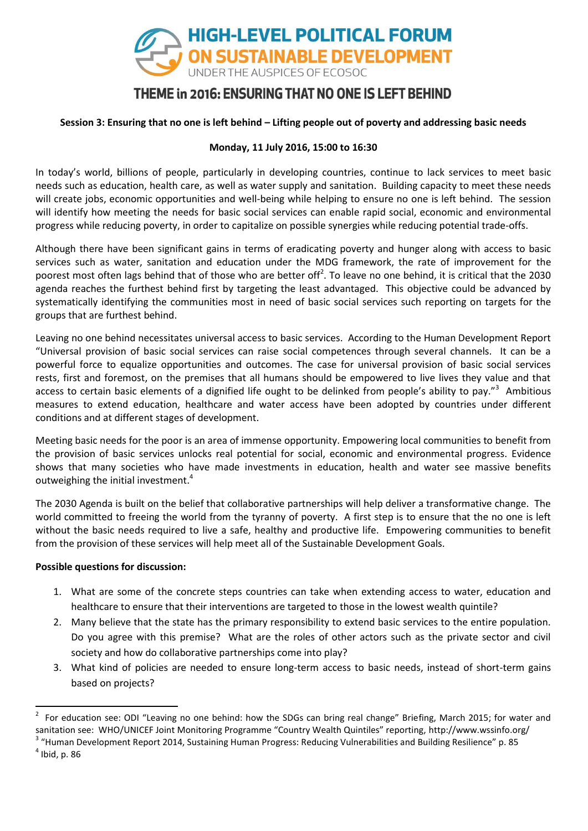

## **Session 3: Ensuring that no one is left behind – Lifting people out of poverty and addressing basic needs**

## **Monday, 11 July 2016, 15:00 to 16:30**

In today's world, billions of people, particularly in developing countries, continue to lack services to meet basic needs such as education, health care, as well as water supply and sanitation. Building capacity to meet these needs will create jobs, economic opportunities and well-being while helping to ensure no one is left behind. The session will identify how meeting the needs for basic social services can enable rapid social, economic and environmental progress while reducing poverty, in order to capitalize on possible synergies while reducing potential trade-offs.

Although there have been significant gains in terms of eradicating poverty and hunger along with access to basic services such as water, sanitation and education under the MDG framework, the rate of improvement for the poorest most often lags behind that of those who are better off<sup>2</sup>. To leave no one behind, it is critical that the 2030 agenda reaches the furthest behind first by targeting the least advantaged. This objective could be advanced by systematically identifying the communities most in need of basic social services such reporting on targets for the groups that are furthest behind.

Leaving no one behind necessitates universal access to basic services. According to the Human Development Report "Universal provision of basic social services can raise social competences through several channels. It can be a powerful force to equalize opportunities and outcomes. The case for universal provision of basic social services rests, first and foremost, on the premises that all humans should be empowered to live lives they value and that access to certain basic elements of a dignified life ought to be delinked from people's ability to pay."<sup>3</sup> Ambitious measures to extend education, healthcare and water access have been adopted by countries under different conditions and at different stages of development.

Meeting basic needs for the poor is an area of immense opportunity. Empowering local communities to benefit from the provision of basic services unlocks real potential for social, economic and environmental progress. Evidence shows that many societies who have made investments in education, health and water see massive benefits outweighing the initial investment.<sup>4</sup>

The 2030 Agenda is built on the belief that collaborative partnerships will help deliver a transformative change. The world committed to freeing the world from the tyranny of poverty. A first step is to ensure that the no one is left without the basic needs required to live a safe, healthy and productive life. Empowering communities to benefit from the provision of these services will help meet all of the Sustainable Development Goals.

#### **Possible questions for discussion:**

- 1. What are some of the concrete steps countries can take when extending access to water, education and healthcare to ensure that their interventions are targeted to those in the lowest wealth quintile?
- 2. Many believe that the state has the primary responsibility to extend basic services to the entire population. Do you agree with this premise? What are the roles of other actors such as the private sector and civil society and how do collaborative partnerships come into play?
- 3. What kind of policies are needed to ensure long-term access to basic needs, instead of short-term gains based on projects?

<sup>2</sup> For education see: ODI "Leaving no one behind: how the SDGs can bring real change" Briefing, March 2015; for water and sanitation see: WHO/UNICEF Joint Monitoring Programme "Country Wealth Quintiles" reporting, http://www.wssinfo.org/ <sup>3</sup> "Human Development Report 2014, Sustaining Human Progress: Reducing Vulnerabilities and Building Resilience" p. 85

 $<sup>4</sup>$  Ibid, p. 86</sup>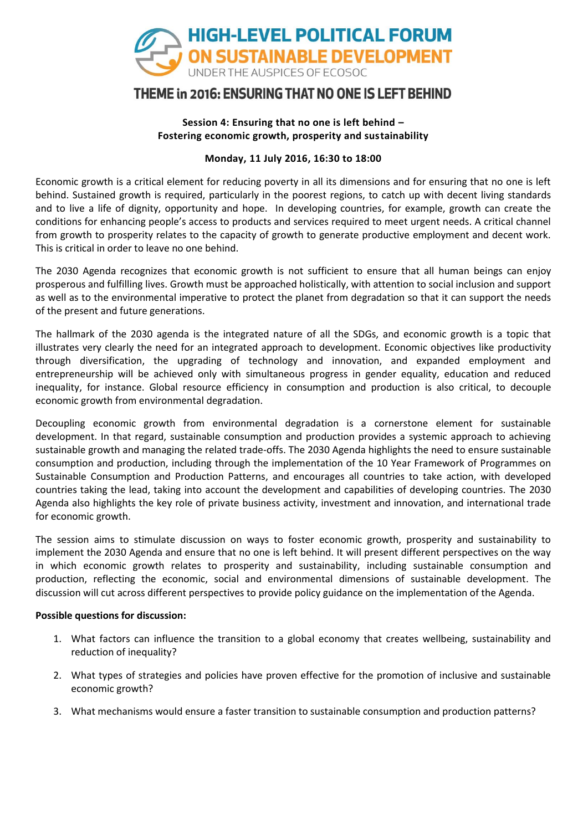

## **Session 4: Ensuring that no one is left behind – Fostering economic growth, prosperity and sustainability**

## **Monday, 11 July 2016, 16:30 to 18:00**

Economic growth is a critical element for reducing poverty in all its dimensions and for ensuring that no one is left behind. Sustained growth is required, particularly in the poorest regions, to catch up with decent living standards and to live a life of dignity, opportunity and hope. In developing countries, for example, growth can create the conditions for enhancing people's access to products and services required to meet urgent needs. A critical channel from growth to prosperity relates to the capacity of growth to generate productive employment and decent work. This is critical in order to leave no one behind.

The 2030 Agenda recognizes that economic growth is not sufficient to ensure that all human beings can enjoy prosperous and fulfilling lives. Growth must be approached holistically, with attention to social inclusion and support as well as to the environmental imperative to protect the planet from degradation so that it can support the needs of the present and future generations.

The hallmark of the 2030 agenda is the integrated nature of all the SDGs, and economic growth is a topic that illustrates very clearly the need for an integrated approach to development. Economic objectives like productivity through diversification, the upgrading of technology and innovation, and expanded employment and entrepreneurship will be achieved only with simultaneous progress in gender equality, education and reduced inequality, for instance. Global resource efficiency in consumption and production is also critical, to decouple economic growth from environmental degradation.

Decoupling economic growth from environmental degradation is a cornerstone element for sustainable development. In that regard, sustainable consumption and production provides a systemic approach to achieving sustainable growth and managing the related trade-offs. The 2030 Agenda highlights the need to ensure sustainable consumption and production, including through the implementation of the 10 Year Framework of Programmes on Sustainable Consumption and Production Patterns, and encourages all countries to take action, with developed countries taking the lead, taking into account the development and capabilities of developing countries. The 2030 Agenda also highlights the key role of private business activity, investment and innovation, and international trade for economic growth.

The session aims to stimulate discussion on ways to foster economic growth, prosperity and sustainability to implement the 2030 Agenda and ensure that no one is left behind. It will present different perspectives on the way in which economic growth relates to prosperity and sustainability, including sustainable consumption and production, reflecting the economic, social and environmental dimensions of sustainable development. The discussion will cut across different perspectives to provide policy guidance on the implementation of the Agenda.

- 1. What factors can influence the transition to a global economy that creates wellbeing, sustainability and reduction of inequality?
- 2. What types of strategies and policies have proven effective for the promotion of inclusive and sustainable economic growth?
- 3. What mechanisms would ensure a faster transition to sustainable consumption and production patterns?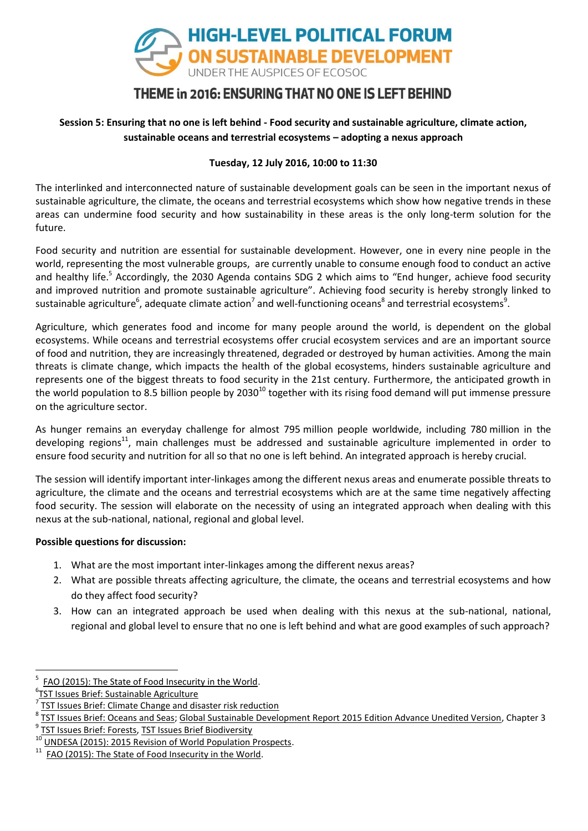

# **Session 5: Ensuring that no one is left behind - Food security and sustainable agriculture, climate action, sustainable oceans and terrestrial ecosystems – adopting a nexus approach**

## **Tuesday, 12 July 2016, 10:00 to 11:30**

The interlinked and interconnected nature of sustainable development goals can be seen in the important nexus of sustainable agriculture, the climate, the oceans and terrestrial ecosystems which show how negative trends in these areas can undermine food security and how sustainability in these areas is the only long-term solution for the future.

Food security and nutrition are essential for sustainable development. However, one in every nine people in the world, representing the most vulnerable groups, are currently unable to consume enough food to conduct an active and healthy life.<sup>5</sup> Accordingly, the 2030 Agenda contains SDG 2 which aims to "End hunger, achieve food security and improved nutrition and promote sustainable agriculture". Achieving food security is hereby strongly linked to sustainable agriculture<sup>6</sup>, adequate climate action<sup>7</sup> and well-functioning oceans<sup>8</sup> and terrestrial ecosystems<sup>9</sup>.

Agriculture, which generates food and income for many people around the world, is dependent on the global ecosystems. While oceans and terrestrial ecosystems offer crucial ecosystem services and are an important source of food and nutrition, they are increasingly threatened, degraded or destroyed by human activities. Among the main threats is climate change, which impacts the health of the global ecosystems, hinders sustainable agriculture and represents one of the biggest threats to food security in the 21st century. Furthermore, the anticipated growth in the world population to 8.5 billion people by 2030<sup>10</sup> together with its rising food demand will put immense pressure on the agriculture sector.

As hunger remains an everyday challenge for almost 795 million people worldwide, including 780 million in the developing regions<sup>11</sup>, main challenges must be addressed and sustainable agriculture implemented in order to ensure food security and nutrition for all so that no one is left behind. An integrated approach is hereby crucial.

The session will identify important inter-linkages among the different nexus areas and enumerate possible threats to agriculture, the climate and the oceans and terrestrial ecosystems which are at the same time negatively affecting food security. The session will elaborate on the necessity of using an integrated approach when dealing with this nexus at the sub-national, national, regional and global level.

## **Possible questions for discussion:**

- 1. What are the most important inter-linkages among the different nexus areas?
- 2. What are possible threats affecting agriculture, the climate, the oceans and terrestrial ecosystems and how do they affect food security?
- 3. How can an integrated approach be used when dealing with this nexus at the sub-national, national, regional and global level to ensure that no one is left behind and what are good examples of such approach?

 $\overline{\phantom{a}}$ 

<sup>5</sup> [FAO \(2015\): The State of Food Insecurity in the World.](http://www.fao.org/3/a-i4646e.pdf)

<sup>6</sup> [TST Issues Brief: Sustainable Agriculture](https://sustainabledevelopment.un.org/content/documents/1802tstissuesagriculture.pdf)

<sup>7</sup> [TST Issues Brief: Climate Change and disaster risk reduction](https://sustainabledevelopment.un.org/content/documents/2301TST%20Issue%20Brief_CC&DRR_Final_4_Nov_final%20final.pdf)

<sup>8</sup> [TST Issues Brief: Oceans and Seas;](https://sustainabledevelopment.un.org/content/documents/2311TST%20Issues%20Brief%20Oceans%20and%20Seas_FINAL.pdf) [Global Sustainable Development Report 2015 Edition Advance Unedited Version,](https://sustainabledevelopment.un.org/gsdr2015.html) Chapter 3

<sup>9</sup> [TST Issues Brief: Forests,](https://sustainabledevelopment.un.org/content/documents/2291Forest%20Issues%20Brief_FINAL.pdf) [TST Issues Brief Biodiversity](https://sustainabledevelopment.un.org/content/documents/2401TST%20Issues%20Brief%20Biodiversity_FINAL.pdf)

<sup>10</sup> [UNDESA \(2015\): 2015 Revision of World Population Prospects.](https://esa.un.org/unpd/wpp/Publications/Files/Key_Findings_WPP_2015.pdf)

<sup>11</sup> [FAO \(2015\): The State of Food Insecurity in the World.](http://www.fao.org/3/a-i4646e.pdf)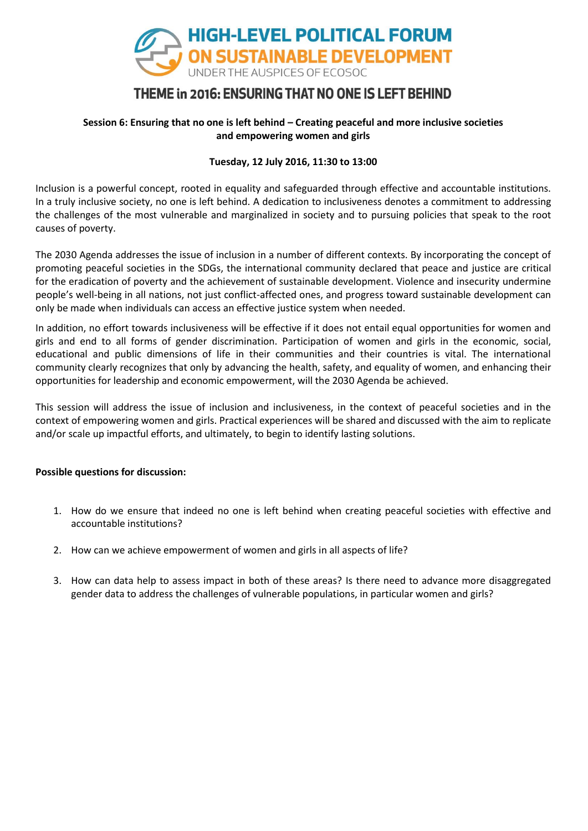

## **Session 6: Ensuring that no one is left behind – Creating peaceful and more inclusive societies and empowering women and girls**

### **Tuesday, 12 July 2016, 11:30 to 13:00**

Inclusion is a powerful concept, rooted in equality and safeguarded through effective and accountable institutions. In a truly inclusive society, no one is left behind. A dedication to inclusiveness denotes a commitment to addressing the challenges of the most vulnerable and marginalized in society and to pursuing policies that speak to the root causes of poverty.

The 2030 Agenda addresses the issue of inclusion in a number of different contexts. By incorporating the concept of promoting peaceful societies in the SDGs, the international community declared that peace and justice are critical for the eradication of poverty and the achievement of sustainable development. Violence and insecurity undermine people's well-being in all nations, not just conflict-affected ones, and progress toward sustainable development can only be made when individuals can access an effective justice system when needed.

In addition, no effort towards inclusiveness will be effective if it does not entail equal opportunities for women and girls and end to all forms of gender discrimination. Participation of women and girls in the economic, social, educational and public dimensions of life in their communities and their countries is vital. The international community clearly recognizes that only by advancing the health, safety, and equality of women, and enhancing their opportunities for leadership and economic empowerment, will the 2030 Agenda be achieved.

This session will address the issue of inclusion and inclusiveness, in the context of peaceful societies and in the context of empowering women and girls. Practical experiences will be shared and discussed with the aim to replicate and/or scale up impactful efforts, and ultimately, to begin to identify lasting solutions.

- 1. How do we ensure that indeed no one is left behind when creating peaceful societies with effective and accountable institutions?
- 2. How can we achieve empowerment of women and girls in all aspects of life?
- 3. How can data help to assess impact in both of these areas? Is there need to advance more disaggregated gender data to address the challenges of vulnerable populations, in particular women and girls?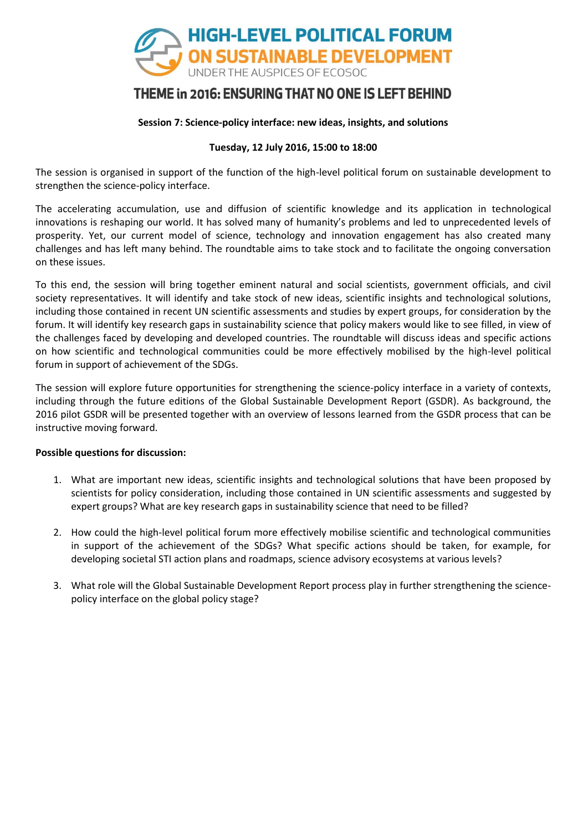

### **Session 7: Science-policy interface: new ideas, insights, and solutions**

### **Tuesday, 12 July 2016, 15:00 to 18:00**

The session is organised in support of the function of the high-level political forum on sustainable development to strengthen the science-policy interface.

The accelerating accumulation, use and diffusion of scientific knowledge and its application in technological innovations is reshaping our world. It has solved many of humanity's problems and led to unprecedented levels of prosperity. Yet, our current model of science, technology and innovation engagement has also created many challenges and has left many behind. The roundtable aims to take stock and to facilitate the ongoing conversation on these issues.

To this end, the session will bring together eminent natural and social scientists, government officials, and civil society representatives. It will identify and take stock of new ideas, scientific insights and technological solutions, including those contained in recent UN scientific assessments and studies by expert groups, for consideration by the forum. It will identify key research gaps in sustainability science that policy makers would like to see filled, in view of the challenges faced by developing and developed countries. The roundtable will discuss ideas and specific actions on how scientific and technological communities could be more effectively mobilised by the high-level political forum in support of achievement of the SDGs.

The session will explore future opportunities for strengthening the science-policy interface in a variety of contexts, including through the future editions of the Global Sustainable Development Report (GSDR). As background, the 2016 pilot GSDR will be presented together with an overview of lessons learned from the GSDR process that can be instructive moving forward.

- 1. What are important new ideas, scientific insights and technological solutions that have been proposed by scientists for policy consideration, including those contained in UN scientific assessments and suggested by expert groups? What are key research gaps in sustainability science that need to be filled?
- 2. How could the high-level political forum more effectively mobilise scientific and technological communities in support of the achievement of the SDGs? What specific actions should be taken, for example, for developing societal STI action plans and roadmaps, science advisory ecosystems at various levels?
- 3. What role will the Global Sustainable Development Report process play in further strengthening the sciencepolicy interface on the global policy stage?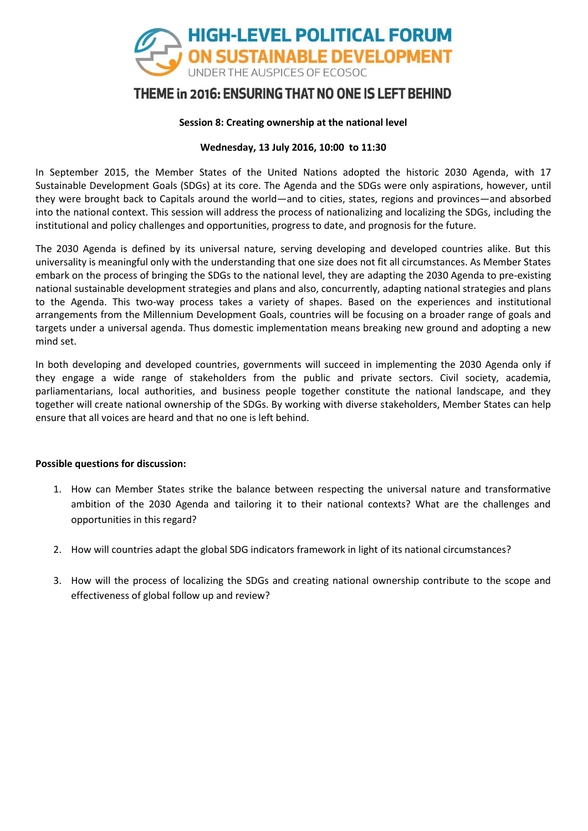

#### **Session 8: Creating ownership at the national level**

### **Wednesday, 13 July 2016, 10:00 to 11:30**

In September 2015, the Member States of the United Nations adopted the historic 2030 Agenda, with 17 Sustainable Development Goals (SDGs) at its core. The Agenda and the SDGs were only aspirations, however, until they were brought back to Capitals around the world—and to cities, states, regions and provinces—and absorbed into the national context. This session will address the process of nationalizing and localizing the SDGs, including the institutional and policy challenges and opportunities, progress to date, and prognosis for the future.

The 2030 Agenda is defined by its universal nature, serving developing and developed countries alike. But this universality is meaningful only with the understanding that one size does not fit all circumstances. As Member States embark on the process of bringing the SDGs to the national level, they are adapting the 2030 Agenda to pre-existing national sustainable development strategies and plans and also, concurrently, adapting national strategies and plans to the Agenda. This two-way process takes a variety of shapes. Based on the experiences and institutional arrangements from the Millennium Development Goals, countries will be focusing on a broader range of goals and targets under a universal agenda. Thus domestic implementation means breaking new ground and adopting a new mind set.

In both developing and developed countries, governments will succeed in implementing the 2030 Agenda only if they engage a wide range of stakeholders from the public and private sectors. Civil society, academia, parliamentarians, local authorities, and business people together constitute the national landscape, and they together will create national ownership of the SDGs. By working with diverse stakeholders, Member States can help ensure that all voices are heard and that no one is left behind.

- 1. How can Member States strike the balance between respecting the universal nature and transformative ambition of the 2030 Agenda and tailoring it to their national contexts? What are the challenges and opportunities in this regard?
- 2. How will countries adapt the global SDG indicators framework in light of its national circumstances?
- 3. How will the process of localizing the SDGs and creating national ownership contribute to the scope and effectiveness of global follow up and review?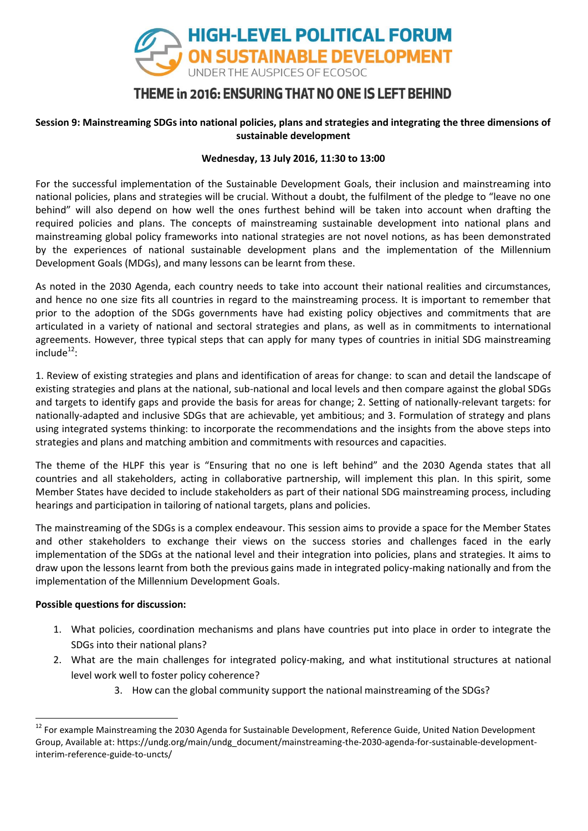

## **Session 9: Mainstreaming SDGs into national policies, plans and strategies and integrating the three dimensions of sustainable development**

## **Wednesday, 13 July 2016, 11:30 to 13:00**

For the successful implementation of the Sustainable Development Goals, their inclusion and mainstreaming into national policies, plans and strategies will be crucial. Without a doubt, the fulfilment of the pledge to "leave no one behind" will also depend on how well the ones furthest behind will be taken into account when drafting the required policies and plans. The concepts of mainstreaming sustainable development into national plans and mainstreaming global policy frameworks into national strategies are not novel notions, as has been demonstrated by the experiences of national sustainable development plans and the implementation of the Millennium Development Goals (MDGs), and many lessons can be learnt from these.

As noted in the 2030 Agenda, each country needs to take into account their national realities and circumstances, and hence no one size fits all countries in regard to the mainstreaming process. It is important to remember that prior to the adoption of the SDGs governments have had existing policy objectives and commitments that are articulated in a variety of national and sectoral strategies and plans, as well as in commitments to international agreements. However, three typical steps that can apply for many types of countries in initial SDG mainstreaming  $include^{12}$ :

1. Review of existing strategies and plans and identification of areas for change: to scan and detail the landscape of existing strategies and plans at the national, sub-national and local levels and then compare against the global SDGs and targets to identify gaps and provide the basis for areas for change; 2. Setting of nationally-relevant targets: for nationally-adapted and inclusive SDGs that are achievable, yet ambitious; and 3. Formulation of strategy and plans using integrated systems thinking: to incorporate the recommendations and the insights from the above steps into strategies and plans and matching ambition and commitments with resources and capacities.

The theme of the HLPF this year is "Ensuring that no one is left behind" and the 2030 Agenda states that all countries and all stakeholders, acting in collaborative partnership, will implement this plan. In this spirit, some Member States have decided to include stakeholders as part of their national SDG mainstreaming process, including hearings and participation in tailoring of national targets, plans and policies.

The mainstreaming of the SDGs is a complex endeavour. This session aims to provide a space for the Member States and other stakeholders to exchange their views on the success stories and challenges faced in the early implementation of the SDGs at the national level and their integration into policies, plans and strategies. It aims to draw upon the lessons learnt from both the previous gains made in integrated policy-making nationally and from the implementation of the Millennium Development Goals.

## **Possible questions for discussion:**

- 1. What policies, coordination mechanisms and plans have countries put into place in order to integrate the SDGs into their national plans?
- 2. What are the main challenges for integrated policy-making, and what institutional structures at national level work well to foster policy coherence?
	- 3. How can the global community support the national mainstreaming of the SDGs?

<sup>&</sup>lt;sup>12</sup> For example Mainstreaming the 2030 Agenda for Sustainable Development, Reference Guide, United Nation Development Group, Available at: https://undg.org/main/undg\_document/mainstreaming-the-2030-agenda-for-sustainable-developmentinterim-reference-guide-to-uncts/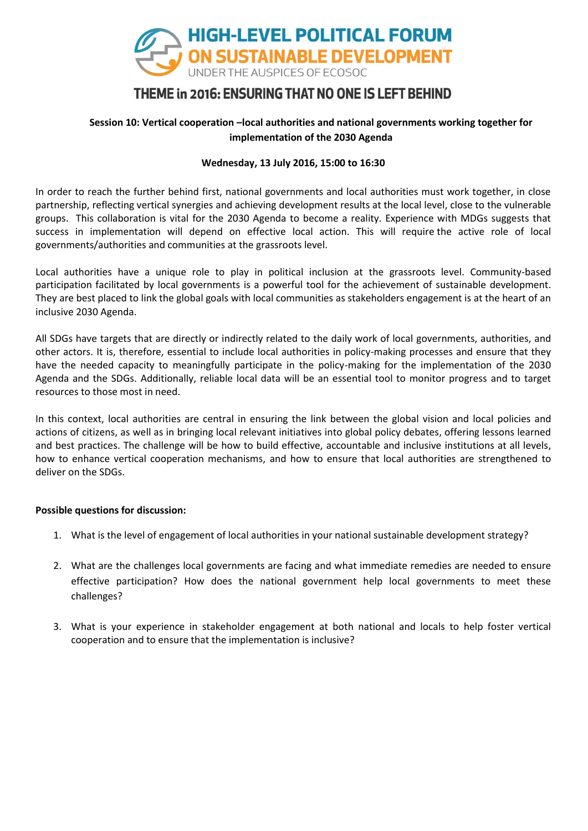

## **Session 10: Vertical cooperation –local authorities and national governments working together for implementation of the 2030 Agenda**

### **Wednesday, 13 July 2016, 15:00 to 16:30**

In order to reach the further behind first, national governments and local authorities must work together, in close partnership, reflecting vertical synergies and achieving development results at the local level, close to the vulnerable groups. This collaboration is vital for the 2030 Agenda to become a reality. Experience with MDGs suggests that success in implementation will depend on effective local action. This will require the active role of local governments/authorities and communities at the grassroots level.

Local authorities have a unique role to play in political inclusion at the grassroots level. Community-based participation facilitated by local governments is a powerful tool for the achievement of sustainable development. They are best placed to link the global goals with local communities as stakeholders engagement is at the heart of an inclusive 2030 Agenda.

All SDGs have targets that are directly or indirectly related to the daily work of local governments, authorities, and other actors. It is, therefore, essential to include local authorities in policy-making processes and ensure that they have the needed capacity to meaningfully participate in the policy-making for the implementation of the 2030 Agenda and the SDGs. Additionally, reliable local data will be an essential tool to monitor progress and to target resources to those most in need.

In this context, local authorities are central in ensuring the link between the global vision and local policies and actions of citizens, as well as in bringing local relevant initiatives into global policy debates, offering lessons learned and best practices. The challenge will be how to build effective, accountable and inclusive institutions at all levels, how to enhance vertical cooperation mechanisms, and how to ensure that local authorities are strengthened to deliver on the SDGs.

- 1. What is the level of engagement of local authorities in your national sustainable development strategy?
- 2. What are the challenges local governments are facing and what immediate remedies are needed to ensure effective participation? How does the national government help local governments to meet these challenges?
- 3. What is your experience in stakeholder engagement at both national and locals to help foster vertical cooperation and to ensure that the implementation is inclusive?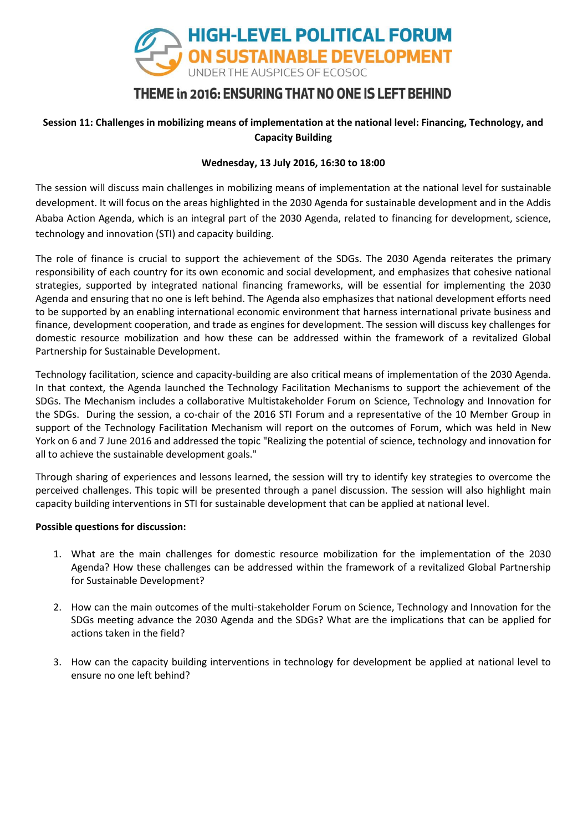

# **Session 11: Challenges in mobilizing means of implementation at the national level: Financing, Technology, and Capacity Building**

### **Wednesday, 13 July 2016, 16:30 to 18:00**

The session will discuss main challenges in mobilizing means of implementation at the national level for sustainable development. It will focus on the areas highlighted in the 2030 Agenda for sustainable development and in the Addis Ababa Action Agenda, which is an integral part of the 2030 Agenda, related to financing for development, science, technology and innovation (STI) and capacity building.

The role of finance is crucial to support the achievement of the SDGs. The 2030 Agenda reiterates the primary responsibility of each country for its own economic and social development, and emphasizes that cohesive national strategies, supported by integrated national financing frameworks, will be essential for implementing the 2030 Agenda and ensuring that no one is left behind. The Agenda also emphasizes that national development efforts need to be supported by an enabling international economic environment that harness international private business and finance, development cooperation, and trade as engines for development. The session will discuss key challenges for domestic resource mobilization and how these can be addressed within the framework of a revitalized Global Partnership for Sustainable Development.

Technology facilitation, science and capacity-building are also critical means of implementation of the 2030 Agenda. In that context, the Agenda launched the Technology Facilitation Mechanisms to support the achievement of the SDGs. The Mechanism includes a collaborative Multistakeholder Forum on Science, Technology and Innovation for the SDGs. During the session, a co-chair of the 2016 STI Forum and a representative of the 10 Member Group in support of the Technology Facilitation Mechanism will report on the outcomes of Forum, which was held in New York on 6 and 7 June 2016 and addressed the topic "Realizing the potential of science, technology and innovation for all to achieve the sustainable development goals."

Through sharing of experiences and lessons learned, the session will try to identify key strategies to overcome the perceived challenges. This topic will be presented through a panel discussion. The session will also highlight main capacity building interventions in STI for sustainable development that can be applied at national level.

- 1. What are the main challenges for domestic resource mobilization for the implementation of the 2030 Agenda? How these challenges can be addressed within the framework of a revitalized Global Partnership for Sustainable Development?
- 2. How can the main outcomes of the multi-stakeholder Forum on Science, Technology and Innovation for the SDGs meeting advance the 2030 Agenda and the SDGs? What are the implications that can be applied for actions taken in the field?
- 3. How can the capacity building interventions in technology for development be applied at national level to ensure no one left behind?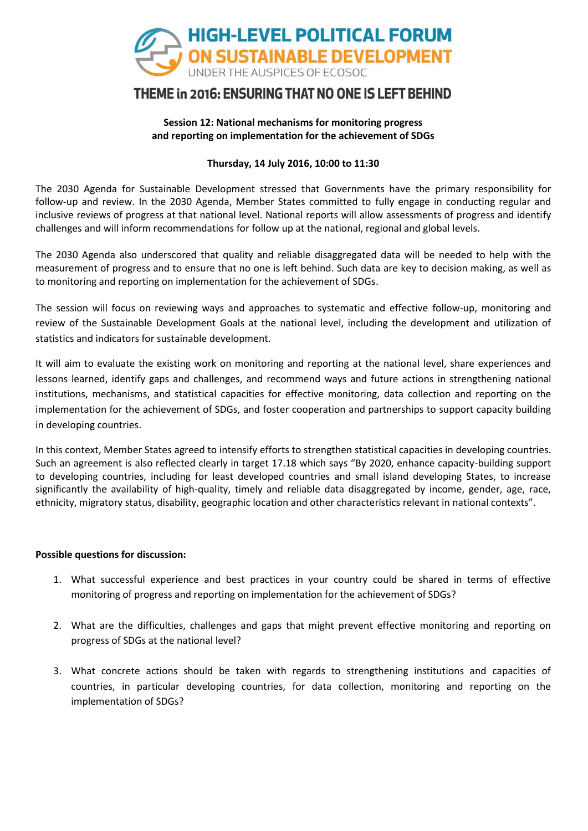

### **Session 12: National mechanisms for monitoring progress and reporting on implementation for the achievement of SDGs**

### **Thursday, 14 July 2016, 10:00 to 11:30**

The 2030 Agenda for Sustainable Development stressed that Governments have the primary responsibility for follow-up and review. In the 2030 Agenda, Member States committed to fully engage in conducting regular and inclusive reviews of progress at that national level. National reports will allow assessments of progress and identify challenges and will inform recommendations for follow up at the national, regional and global levels.

The 2030 Agenda also underscored that quality and reliable disaggregated data will be needed to help with the measurement of progress and to ensure that no one is left behind. Such data are key to decision making, as well as to monitoring and reporting on implementation for the achievement of SDGs.

The session will focus on reviewing ways and approaches to systematic and effective follow-up, monitoring and review of the Sustainable Development Goals at the national level, including the development and utilization of statistics and indicators for sustainable development.

It will aim to evaluate the existing work on monitoring and reporting at the national level, share experiences and lessons learned, identify gaps and challenges, and recommend ways and future actions in strengthening national institutions, mechanisms, and statistical capacities for effective monitoring, data collection and reporting on the implementation for the achievement of SDGs, and foster cooperation and partnerships to support capacity building in developing countries.

In this context, Member States agreed to intensify efforts to strengthen statistical capacities in developing countries. Such an agreement is also reflected clearly in target 17.18 which says "By 2020, enhance capacity-building support to developing countries, including for least developed countries and small island developing States, to increase significantly the availability of high-quality, timely and reliable data disaggregated by income, gender, age, race, ethnicity, migratory status, disability, geographic location and other characteristics relevant in national contexts".

- 1. What successful experience and best practices in your country could be shared in terms of effective monitoring of progress and reporting on implementation for the achievement of SDGs?
- 2. What are the difficulties, challenges and gaps that might prevent effective monitoring and reporting on progress of SDGs at the national level?
- 3. What concrete actions should be taken with regards to strengthening institutions and capacities of countries, in particular developing countries, for data collection, monitoring and reporting on the implementation of SDGs?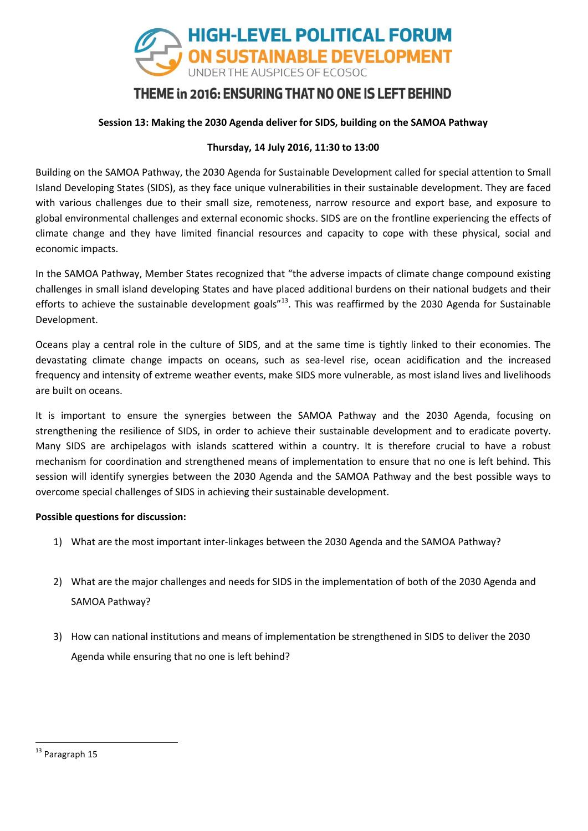

## **Session 13: Making the 2030 Agenda deliver for SIDS, building on the SAMOA Pathway**

### **Thursday, 14 July 2016, 11:30 to 13:00**

Building on the SAMOA Pathway, the 2030 Agenda for Sustainable Development called for special attention to Small Island Developing States (SIDS), as they face unique vulnerabilities in their sustainable development. They are faced with various challenges due to their small size, remoteness, narrow resource and export base, and exposure to global environmental challenges and external economic shocks. SIDS are on the frontline experiencing the effects of climate change and they have limited financial resources and capacity to cope with these physical, social and economic impacts.

In the SAMOA Pathway, Member States recognized that "the adverse impacts of climate change compound existing challenges in small island developing States and have placed additional burdens on their national budgets and their efforts to achieve the sustainable development goals"<sup>13</sup>. This was reaffirmed by the 2030 Agenda for Sustainable Development.

Oceans play a central role in the culture of SIDS, and at the same time is tightly linked to their economies. The devastating climate change impacts on oceans, such as sea-level rise, ocean acidification and the increased frequency and intensity of extreme weather events, make SIDS more vulnerable, as most island lives and livelihoods are built on oceans.

It is important to ensure the synergies between the SAMOA Pathway and the 2030 Agenda, focusing on strengthening the resilience of SIDS, in order to achieve their sustainable development and to eradicate poverty. Many SIDS are archipelagos with islands scattered within a country. It is therefore crucial to have a robust mechanism for coordination and strengthened means of implementation to ensure that no one is left behind. This session will identify synergies between the 2030 Agenda and the SAMOA Pathway and the best possible ways to overcome special challenges of SIDS in achieving their sustainable development.

## **Possible questions for discussion:**

- 1) What are the most important inter-linkages between the 2030 Agenda and the SAMOA Pathway?
- 2) What are the major challenges and needs for SIDS in the implementation of both of the 2030 Agenda and SAMOA Pathway?
- 3) How can national institutions and means of implementation be strengthened in SIDS to deliver the 2030 Agenda while ensuring that no one is left behind?

<sup>&</sup>lt;sup>13</sup> Paragraph 15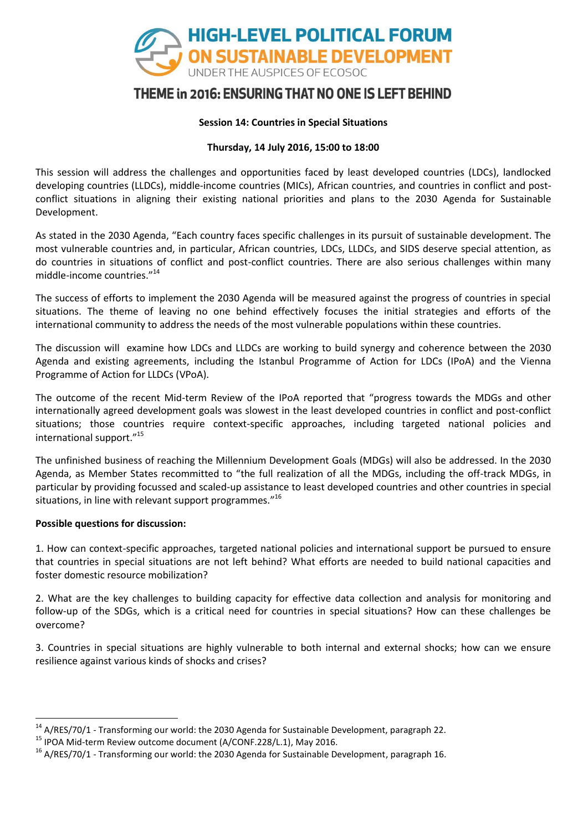

### **Session 14: Countries in Special Situations**

### **Thursday, 14 July 2016, 15:00 to 18:00**

This session will address the challenges and opportunities faced by least developed countries (LDCs), landlocked developing countries (LLDCs), middle-income countries (MICs), African countries, and countries in conflict and postconflict situations in aligning their existing national priorities and plans to the 2030 Agenda for Sustainable Development.

As stated in the 2030 Agenda, "Each country faces specific challenges in its pursuit of sustainable development. The most vulnerable countries and, in particular, African countries, LDCs, LLDCs, and SIDS deserve special attention, as do countries in situations of conflict and post-conflict countries. There are also serious challenges within many middle-income countries." 14

The success of efforts to implement the 2030 Agenda will be measured against the progress of countries in special situations. The theme of leaving no one behind effectively focuses the initial strategies and efforts of the international community to address the needs of the most vulnerable populations within these countries.

The discussion will examine how LDCs and LLDCs are working to build synergy and coherence between the 2030 Agenda and existing agreements, including the Istanbul Programme of Action for LDCs (IPoA) and the Vienna Programme of Action for LLDCs (VPoA).

The outcome of the recent Mid-term Review of the IPoA reported that "progress towards the MDGs and other internationally agreed development goals was slowest in the least developed countries in conflict and post-conflict situations; those countries require context-specific approaches, including targeted national policies and international support." 15

The unfinished business of reaching the Millennium Development Goals (MDGs) will also be addressed. In the 2030 Agenda, as Member States recommitted to "the full realization of all the MDGs, including the off-track MDGs, in particular by providing focussed and scaled-up assistance to least developed countries and other countries in special situations, in line with relevant support programmes."<sup>16</sup>

#### **Possible questions for discussion:**

**.** 

1. How can context-specific approaches, targeted national policies and international support be pursued to ensure that countries in special situations are not left behind? What efforts are needed to build national capacities and foster domestic resource mobilization?

2. What are the key challenges to building capacity for effective data collection and analysis for monitoring and follow-up of the SDGs, which is a critical need for countries in special situations? How can these challenges be overcome?

3. Countries in special situations are highly vulnerable to both internal and external shocks; how can we ensure resilience against various kinds of shocks and crises?

<sup>&</sup>lt;sup>14</sup> A/RES/70/1 - Transforming our world: the 2030 Agenda for Sustainable Development, paragraph 22.

<sup>15</sup> IPOA Mid-term Review outcome document (A/CONF.228/L.1), May 2016.

<sup>&</sup>lt;sup>16</sup> A/RES/70/1 - Transforming our world: the 2030 Agenda for Sustainable Development, paragraph 16.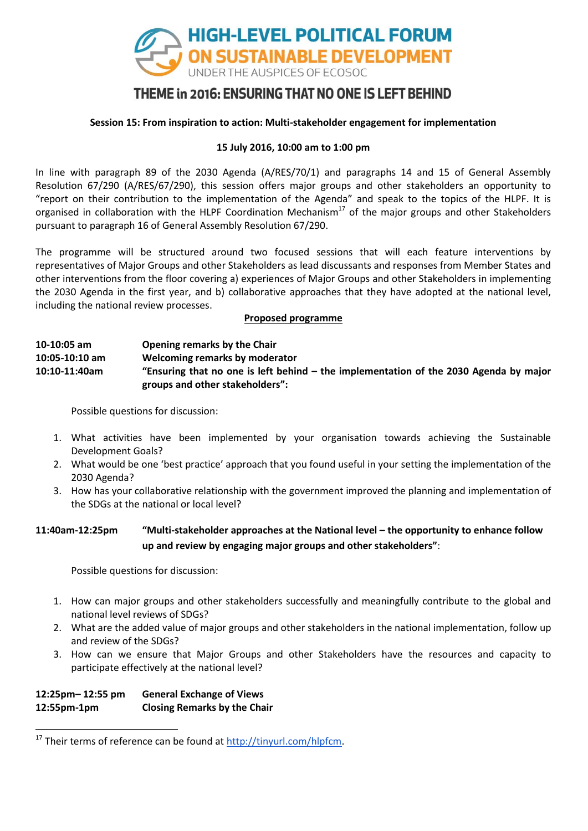

### **Session 15: From inspiration to action: Multi-stakeholder engagement for implementation**

### **15 July 2016, 10:00 am to 1:00 pm**

In line with paragraph 89 of the 2030 Agenda (A/RES/70/1) and paragraphs 14 and 15 of General Assembly Resolution 67/290 (A/RES/67/290), this session offers major groups and other stakeholders an opportunity to "report on their contribution to the implementation of the Agenda" and speak to the topics of the HLPF. It is organised in collaboration with the HLPF Coordination Mechanism<sup>17</sup> of the major groups and other Stakeholders pursuant to paragraph 16 of General Assembly Resolution 67/290.

The programme will be structured around two focused sessions that will each feature interventions by representatives of Major Groups and other Stakeholders as lead discussants and responses from Member States and other interventions from the floor covering a) experiences of Major Groups and other Stakeholders in implementing the 2030 Agenda in the first year, and b) collaborative approaches that they have adopted at the national level, including the national review processes.

#### **Proposed programme**

## **10-10:05 am Opening remarks by the Chair**

#### **10:05-10:10 am Welcoming remarks by moderator**

**10:10-11:40am "Ensuring that no one is left behind – the implementation of the 2030 Agenda by major groups and other stakeholders":**

Possible questions for discussion:

- 1. What activities have been implemented by your organisation towards achieving the Sustainable Development Goals?
- 2. What would be one 'best practice' approach that you found useful in your setting the implementation of the 2030 Agenda?
- 3. How has your collaborative relationship with the government improved the planning and implementation of the SDGs at the national or local level?

## **11:40am-12:25pm "Multi-stakeholder approaches at the National level – the opportunity to enhance follow up and review by engaging major groups and other stakeholders"**:

Possible questions for discussion:

- 1. How can major groups and other stakeholders successfully and meaningfully contribute to the global and national level reviews of SDGs?
- 2. What are the added value of major groups and other stakeholders in the national implementation, follow up and review of the SDGs?
- 3. How can we ensure that Major Groups and other Stakeholders have the resources and capacity to participate effectively at the national level?

### **12:25pm– 12:55 pm General Exchange of Views 12:55pm-1pm Closing Remarks by the Chair**

<sup>&</sup>lt;sup>17</sup> Their terms of reference can be found at [http://tinyurl.com/hlpfcm.](http://tinyurl.com/hlpfcm)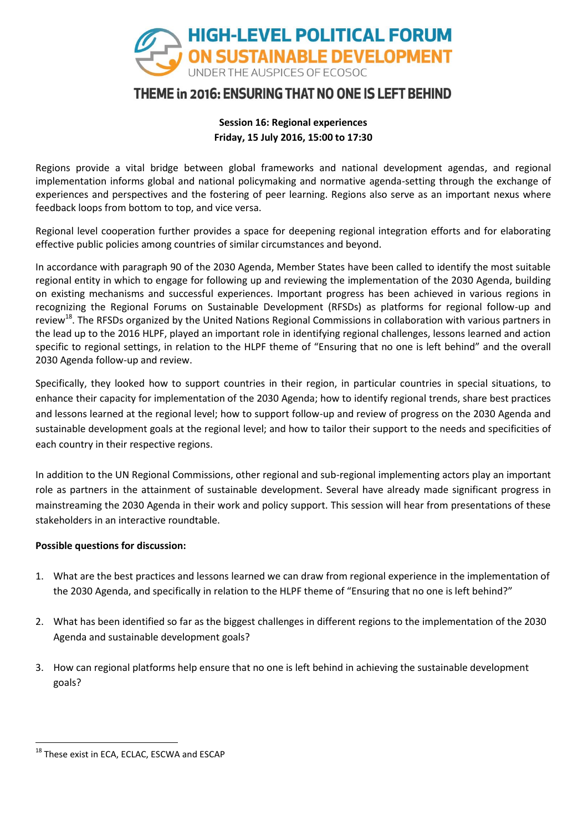

## **Session 16: Regional experiences Friday, 15 July 2016, 15:00 to 17:30**

Regions provide a vital bridge between global frameworks and national development agendas, and regional implementation informs global and national policymaking and normative agenda-setting through the exchange of experiences and perspectives and the fostering of peer learning. Regions also serve as an important nexus where feedback loops from bottom to top, and vice versa.

Regional level cooperation further provides a space for deepening regional integration efforts and for elaborating effective public policies among countries of similar circumstances and beyond.

In accordance with paragraph 90 of the 2030 Agenda, Member States have been called to identify the most suitable regional entity in which to engage for following up and reviewing the implementation of the 2030 Agenda, building on existing mechanisms and successful experiences. Important progress has been achieved in various regions in recognizing the Regional Forums on Sustainable Development (RFSDs) as platforms for regional follow-up and review<sup>18</sup>. The RFSDs organized by the United Nations Regional Commissions in collaboration with various partners in the lead up to the 2016 HLPF, played an important role in identifying regional challenges, lessons learned and action specific to regional settings, in relation to the HLPF theme of "Ensuring that no one is left behind" and the overall 2030 Agenda follow-up and review.

Specifically, they looked how to support countries in their region, in particular countries in special situations, to enhance their capacity for implementation of the 2030 Agenda; how to identify regional trends, share best practices and lessons learned at the regional level; how to support follow-up and review of progress on the 2030 Agenda and sustainable development goals at the regional level; and how to tailor their support to the needs and specificities of each country in their respective regions.

In addition to the UN Regional Commissions, other regional and sub-regional implementing actors play an important role as partners in the attainment of sustainable development. Several have already made significant progress in mainstreaming the 2030 Agenda in their work and policy support. This session will hear from presentations of these stakeholders in an interactive roundtable.

- 1. What are the best practices and lessons learned we can draw from regional experience in the implementation of the 2030 Agenda, and specifically in relation to the HLPF theme of "Ensuring that no one is left behind?"
- 2. What has been identified so far as the biggest challenges in different regions to the implementation of the 2030 Agenda and sustainable development goals?
- 3. How can regional platforms help ensure that no one is left behind in achieving the sustainable development goals?

**<sup>.</sup>** <sup>18</sup> These exist in ECA, ECLAC, ESCWA and ESCAP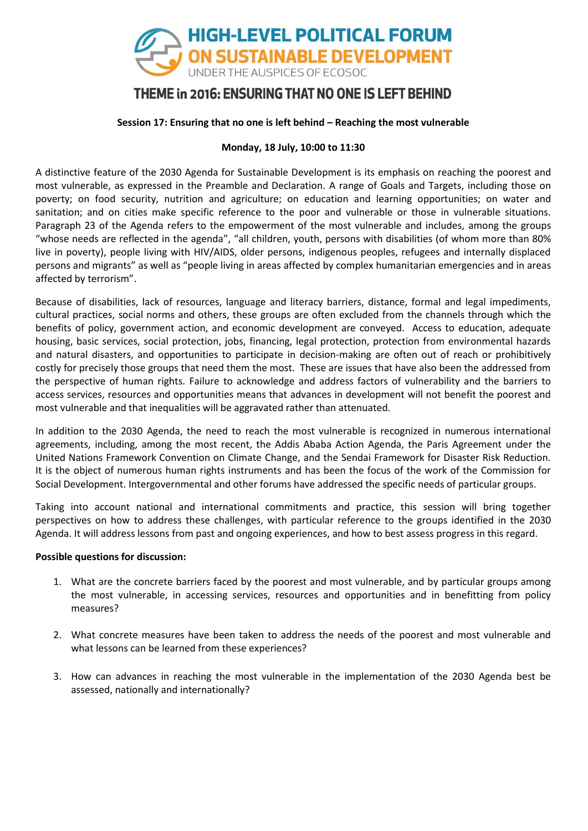

### **Session 17: Ensuring that no one is left behind – Reaching the most vulnerable**

#### **Monday, 18 July, 10:00 to 11:30**

A distinctive feature of the 2030 Agenda for Sustainable Development is its emphasis on reaching the poorest and most vulnerable, as expressed in the Preamble and Declaration. A range of Goals and Targets, including those on poverty; on food security, nutrition and agriculture; on education and learning opportunities; on water and sanitation; and on cities make specific reference to the poor and vulnerable or those in vulnerable situations. Paragraph 23 of the Agenda refers to the empowerment of the most vulnerable and includes, among the groups "whose needs are reflected in the agenda", "all children, youth, persons with disabilities (of whom more than 80% live in poverty), people living with HIV/AIDS, older persons, indigenous peoples, refugees and internally displaced persons and migrants" as well as "people living in areas affected by complex humanitarian emergencies and in areas affected by terrorism".

Because of disabilities, lack of resources, language and literacy barriers, distance, formal and legal impediments, cultural practices, social norms and others, these groups are often excluded from the channels through which the benefits of policy, government action, and economic development are conveyed. Access to education, adequate housing, basic services, social protection, jobs, financing, legal protection, protection from environmental hazards and natural disasters, and opportunities to participate in decision-making are often out of reach or prohibitively costly for precisely those groups that need them the most. These are issues that have also been the addressed from the perspective of human rights. Failure to acknowledge and address factors of vulnerability and the barriers to access services, resources and opportunities means that advances in development will not benefit the poorest and most vulnerable and that inequalities will be aggravated rather than attenuated.

In addition to the 2030 Agenda, the need to reach the most vulnerable is recognized in numerous international agreements, including, among the most recent, the Addis Ababa Action Agenda, the Paris Agreement under the United Nations Framework Convention on Climate Change, and the Sendai Framework for Disaster Risk Reduction. It is the object of numerous human rights instruments and has been the focus of the work of the Commission for Social Development. Intergovernmental and other forums have addressed the specific needs of particular groups.

Taking into account national and international commitments and practice, this session will bring together perspectives on how to address these challenges, with particular reference to the groups identified in the 2030 Agenda. It will address lessons from past and ongoing experiences, and how to best assess progress in this regard.

- 1. What are the concrete barriers faced by the poorest and most vulnerable, and by particular groups among the most vulnerable, in accessing services, resources and opportunities and in benefitting from policy measures?
- 2. What concrete measures have been taken to address the needs of the poorest and most vulnerable and what lessons can be learned from these experiences?
- 3. How can advances in reaching the most vulnerable in the implementation of the 2030 Agenda best be assessed, nationally and internationally?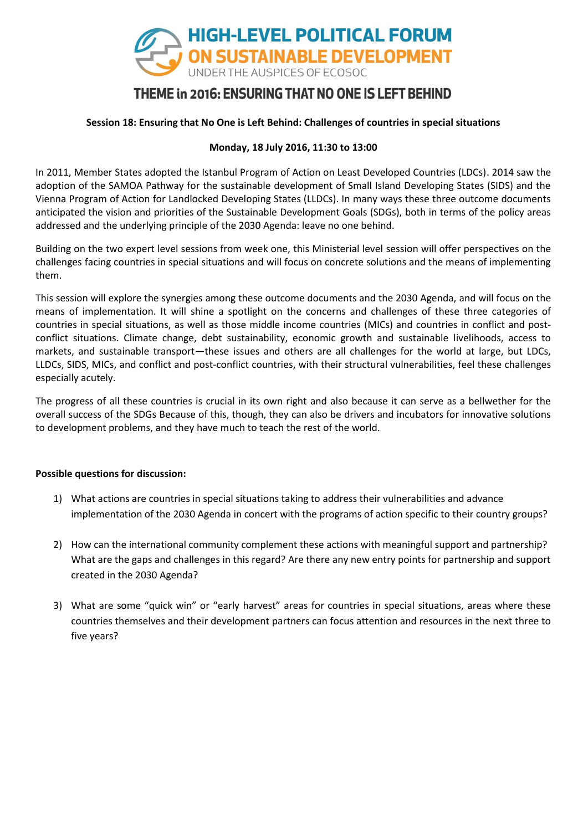

## **Session 18: Ensuring that No One is Left Behind: Challenges of countries in special situations**

### **Monday, 18 July 2016, 11:30 to 13:00**

In 2011, Member States adopted the Istanbul Program of Action on Least Developed Countries (LDCs). 2014 saw the adoption of the SAMOA Pathway for the sustainable development of Small Island Developing States (SIDS) and the Vienna Program of Action for Landlocked Developing States (LLDCs). In many ways these three outcome documents anticipated the vision and priorities of the Sustainable Development Goals (SDGs), both in terms of the policy areas addressed and the underlying principle of the 2030 Agenda: leave no one behind.

Building on the two expert level sessions from week one, this Ministerial level session will offer perspectives on the challenges facing countries in special situations and will focus on concrete solutions and the means of implementing them.

This session will explore the synergies among these outcome documents and the 2030 Agenda, and will focus on the means of implementation. It will shine a spotlight on the concerns and challenges of these three categories of countries in special situations, as well as those middle income countries (MICs) and countries in conflict and postconflict situations. Climate change, debt sustainability, economic growth and sustainable livelihoods, access to markets, and sustainable transport—these issues and others are all challenges for the world at large, but LDCs, LLDCs, SIDS, MICs, and conflict and post-conflict countries, with their structural vulnerabilities, feel these challenges especially acutely.

The progress of all these countries is crucial in its own right and also because it can serve as a bellwether for the overall success of the SDGs Because of this, though, they can also be drivers and incubators for innovative solutions to development problems, and they have much to teach the rest of the world.

- 1) What actions are countries in special situations taking to address their vulnerabilities and advance implementation of the 2030 Agenda in concert with the programs of action specific to their country groups?
- 2) How can the international community complement these actions with meaningful support and partnership? What are the gaps and challenges in this regard? Are there any new entry points for partnership and support created in the 2030 Agenda?
- 3) What are some "quick win" or "early harvest" areas for countries in special situations, areas where these countries themselves and their development partners can focus attention and resources in the next three to five years?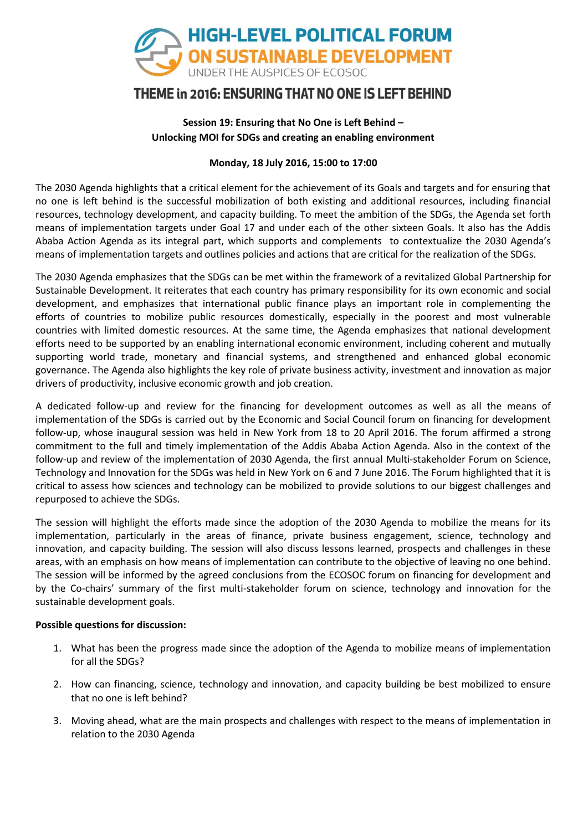

## **Session 19: Ensuring that No One is Left Behind – Unlocking MOI for SDGs and creating an enabling environment**

### **Monday, 18 July 2016, 15:00 to 17:00**

The 2030 Agenda highlights that a critical element for the achievement of its Goals and targets and for ensuring that no one is left behind is the successful mobilization of both existing and additional resources, including financial resources, technology development, and capacity building. To meet the ambition of the SDGs, the Agenda set forth means of implementation targets under Goal 17 and under each of the other sixteen Goals. It also has the Addis Ababa Action Agenda as its integral part, which supports and complements to contextualize the 2030 Agenda's means of implementation targets and outlines policies and actions that are critical for the realization of the SDGs.

The 2030 Agenda emphasizes that the SDGs can be met within the framework of a revitalized Global Partnership for Sustainable Development. It reiterates that each country has primary responsibility for its own economic and social development, and emphasizes that international public finance plays an important role in complementing the efforts of countries to mobilize public resources domestically, especially in the poorest and most vulnerable countries with limited domestic resources. At the same time, the Agenda emphasizes that national development efforts need to be supported by an enabling international economic environment, including coherent and mutually supporting world trade, monetary and financial systems, and strengthened and enhanced global economic governance. The Agenda also highlights the key role of private business activity, investment and innovation as major drivers of productivity, inclusive economic growth and job creation.

A dedicated follow-up and review for the financing for development outcomes as well as all the means of implementation of the SDGs is carried out by the Economic and Social Council forum on financing for development follow-up, whose inaugural session was held in New York from 18 to 20 April 2016. The forum affirmed a strong commitment to the full and timely implementation of the Addis Ababa Action Agenda. Also in the context of the follow-up and review of the implementation of 2030 Agenda, the first annual Multi-stakeholder Forum on Science, Technology and Innovation for the SDGs was held in New York on 6 and 7 June 2016. The Forum highlighted that it is critical to assess how sciences and technology can be mobilized to provide solutions to our biggest challenges and repurposed to achieve the SDGs.

The session will highlight the efforts made since the adoption of the 2030 Agenda to mobilize the means for its implementation, particularly in the areas of finance, private business engagement, science, technology and innovation, and capacity building. The session will also discuss lessons learned, prospects and challenges in these areas, with an emphasis on how means of implementation can contribute to the objective of leaving no one behind. The session will be informed by the agreed conclusions from the ECOSOC forum on financing for development and by the Co-chairs' summary of the first multi-stakeholder forum on science, technology and innovation for the sustainable development goals.

- 1. What has been the progress made since the adoption of the Agenda to mobilize means of implementation for all the SDGs?
- 2. How can financing, science, technology and innovation, and capacity building be best mobilized to ensure that no one is left behind?
- 3. Moving ahead, what are the main prospects and challenges with respect to the means of implementation in relation to the 2030 Agenda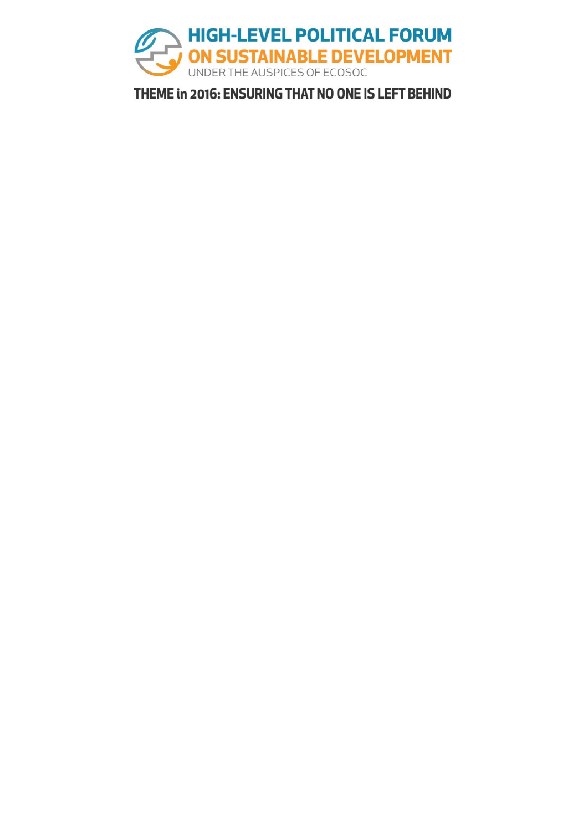